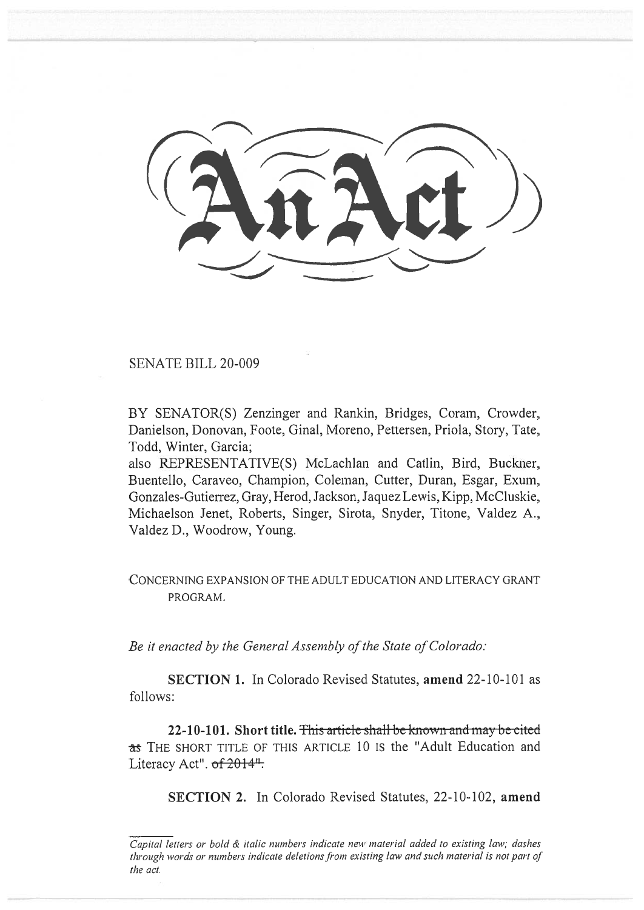SENATE BILL 20-009

BY SENATOR(S) Zenzinger and Rankin, Bridges, Coram, Crowder, Danielson, Donovan, Foote, Ginal, Moreno, Pettersen, Priola, Story, Tate, Todd, Winter, Garcia;

also REPRESENTATIVE(S) McLachlan and Catlin, Bird, Buckner, Buentello, Caraveo, Champion, Coleman, Cutter, Duran, Esgar, Exum, Gonzales-Gutierrez, Gray, Herod, Jackson, Jaquez Lewis, Kipp, McCluskie, Michaelson Jenet, Roberts, Singer, Sirota, Snyder, Titone, Valdez A., Valdez D., Woodrow, Young.

CONCERNING EXPANSION OF THE ADULT EDUCATION AND LITERACY GRANT PROGRAM.

*Be it enacted by the General Assembly of the State of Colorado:* 

**SECTION 1.** In Colorado Revised Statutes, **amend** 22-10-101 as follows:

**22-10-101. Short title. This article shall be known and may be cited** as THE SHORT TITLE OF THIS ARTICLE 10 IS the "Adult Education and Literacy Act". of 2014<sup>"</sup>.

**SECTION 2.** In Colorado Revised Statutes, 22-10-102, **amend** 

Capital letters or bold & italic numbers indicate new material added to existing law; dashes through words or numbers indicate deletions from existing law and such material is not part of the act.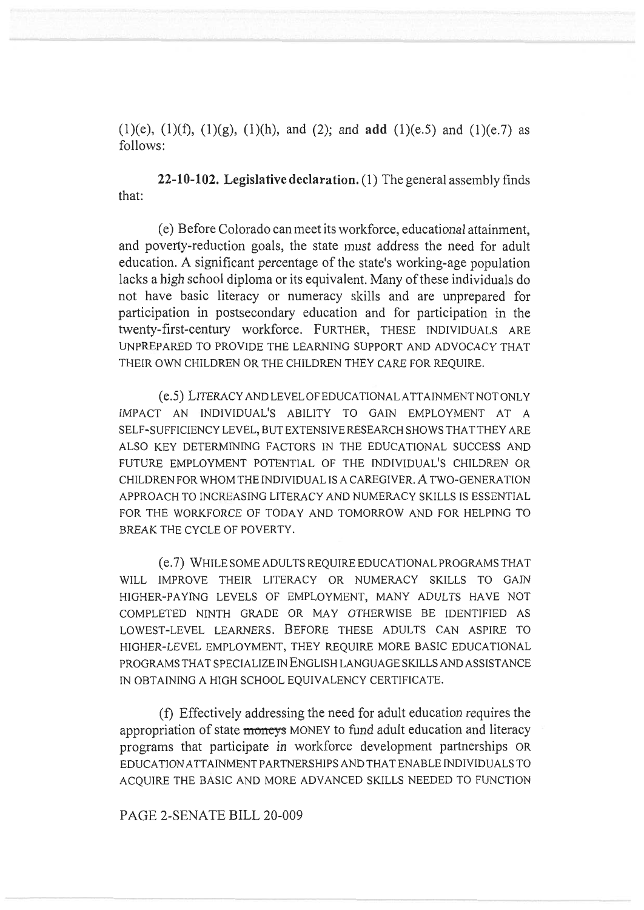(1)(e), (1)(f), (1)(g), (1)(h), and (2); and **add** (1)(e.5) and (1)(e.7) as follows:

**22-10-102. Legislative declaration.** (1) The general assembly finds that:

(e) Before Colorado can meet its workforce, educational attainment, and poverty-reduction goals, the state must address the need for adult education. A significant percentage of the state's working-age population lacks a high school diploma or its equivalent. Many of these individuals do not have basic literacy or numeracy skills and are unprepared for participation in postsecondary education and for participation in the twenty-first-century workforce. FURTHER, THESE INDIVIDUALS ARE UNPREPARED TO PROVIDE THE LEARNING SUPPORT AND ADVOCACY THAT THEIR OWN CHILDREN OR THE CHILDREN THEY CARE FOR REQUIRE.

(e.5) LITERACY AND LEVEL OF EDUCATIONAL ATTAINMENT NOT ONLY IMPACT AN INDIVIDUAL'S ABILITY TO GAIN EMPLOYMENT AT A SELF-SUFFICIENCY LEVEL, BUT EXTENSIVE RESEARCH SHOWS THAT THEY ARE ALSO KEY DETERMINING FACTORS IN THE EDUCATIONAL SUCCESS AND FUTURE EMPLOYMENT POTENTIAL OF THE INDIVIDUAL'S CHILDREN OR CHILDREN FOR WHOM THE INDIVIDUAL IS A CAREGIVER. A TWO-GENERATION APPROACH TO INCREASING LITERACY AND NUMERACY SKILLS IS ESSENTIAL FOR THE WORKFORCE OF TODAY AND TOMORROW AND FOR HELPING TO BREAK THE CYCLE OF POVERTY.

(e.7) WHILE SOME ADULTS REQUIRE EDUCATIONAL PROGRAMS THAT WILL IMPROVE THEIR LITERACY OR NUMERACY SKILLS TO GAIN HIGHER-PAYING LEVELS OF EMPLOYMENT, MANY ADULTS HAVE NOT COMPLETED NINTH GRADE OR MAY OTHERWISE BE IDENTIFIED AS LOWEST-LEVEL LEARNERS. BEFORE THESE ADULTS CAN ASPIRE TO HIGHER-LEVEL EMPLOYMENT, THEY REQUIRE MORE BASIC EDUCATIONAL PROGRAMS THAT SPECIALIZE IN ENGLISH LANGUAGE SKILLS AND ASSISTANCE IN OBTAINING A HIGH SCHOOL EQUIVALENCY CERTIFICATE.

(f) Effectively addressing the need for adult education requires the appropriation of state **moneys** MONEY to fund adult education and literacy programs that participate in workforce development partnerships OR EDUCATION ATTAINMENT PARTNERSHIPS AND THAT ENABLE INDIVIDUALS TO ACQUIRE THE BASIC AND MORE ADVANCED SKILLS NEEDED TO FUNCTION

## PAGE 2-SENATE BILL 20-009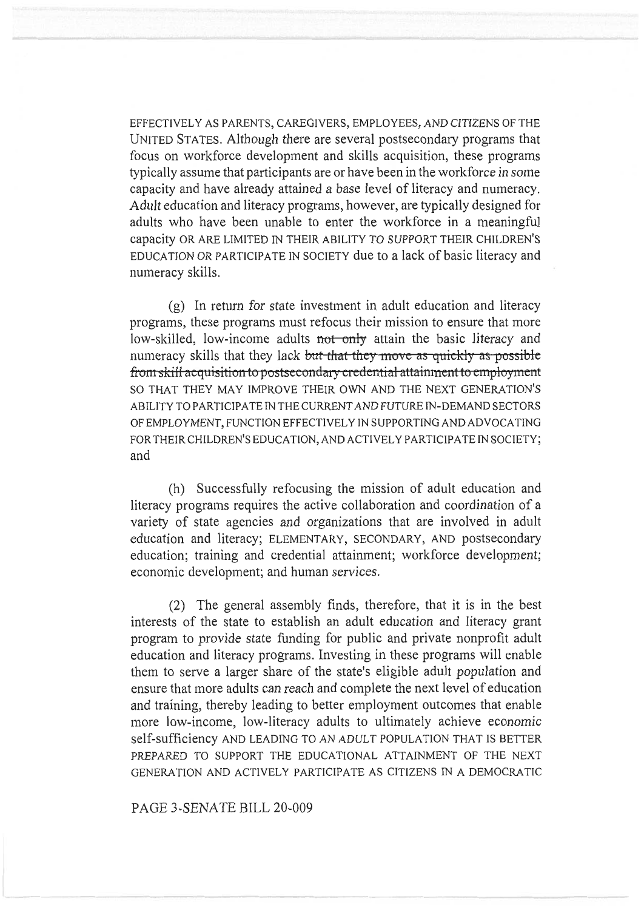EFFECTIVELY AS PARENTS, CAREGIVERS, EMPLOYEES, AND CITIZENS OF THE UNITED STATES. Although there are several postsecondary programs that focus on workforce development and skills acquisition, these programs typically assume that participants are or have been in the workforce in some capacity and have already attained a base level of literacy and numeracy. Adult education and literacy programs, however, are typically designed for adults who have been unable to enter the workforce in a meaningful capacity OR ARE LIMITED IN THEIR ABILITY TO SUPPORT THEIR CHILDREN'S EDUCATION OR PARTICIPATE IN SOCIETY due to a lack of basic literacy and numeracy skills.

(g) In return for state investment in adult education and literacy programs, these programs must refocus their mission to ensure that more low-skilled, low-income adults not only attain the basic literacy and numeracy skills that they lack but that they move as quickly as possible from skill acquisition to postsecondary credential attainment to employment SO THAT THEY MAY IMPROVE THEIR OWN AND THE NEXT GENERATION'S ABILITY TO PARTICIPATE IN THE CURRENT AND FUTURE IN-DEMAND SECTORS OF EMPLOYMENT, FUNCTION EFFECTIVELY IN SUPPORTING AND ADVOCATING FOR THEIR CHILDREN'S EDUCATION, AND ACTIVELY PARTICIPATE IN SOCIETY; and

(h) Successfully refocusing the mission of adult education and literacy programs requires the active collaboration and coordination of a variety of state agencies and organizations that are involved in adult education and literacy; ELEMENTARY, SECONDARY, AND postsecondary education; training and credential attainment; workforce development; economic development; and human services.

(2) The general assembly finds, therefore, that it is in the best interests of the state to establish an adult education and literacy grant program to provide state funding for public and private nonprofit adult education and literacy programs. Investing in these programs will enable them to serve a larger share of the state's eligible adult population and ensure that more adults can reach and complete the next level of education and training, thereby leading to better employment outcomes that enable more low-income, low-literacy adults to ultimately achieve economic self-sufficiency AND LEADING TO AN ADULT POPULATION THAT IS BETTER PREPARED TO SUPPORT THE EDUCATIONAL ATTAINMENT OF THE NEXT GENERATION AND ACTIVELY PARTICIPATE AS CITIZENS IN A DEMOCRATIC

PAGE 3-SENATE BILL 20-009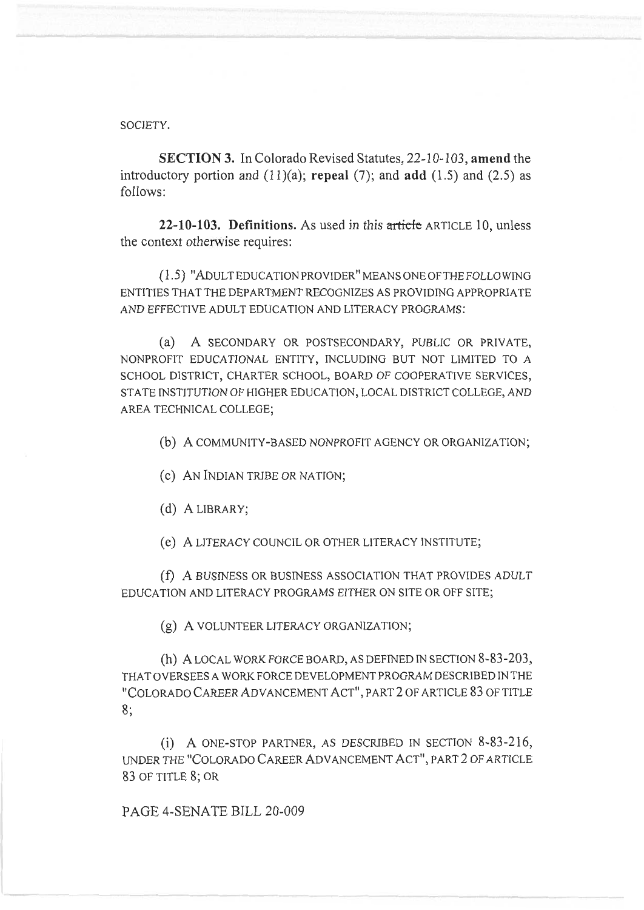SOCIETY.

**SECTION 3.** In Colorado Revised Statutes, 22-10-103, **amend** the introductory portion and (11)(a); **repeal** (7); and **add** (1.5) and (2.5) as follows:

**22-10-103. Definitions.** As used in this article ARTICLE 10, unless the context otherwise requires:

(1.5) "ADULT EDUCATION PROVIDER" MEANS ONE OF THE FOLLOWING ENTITIES THAT THE DEPARTMENT RECOGNIZES AS PROVIDING APPROPRIATE AND EFFECTIVE ADULT EDUCATION AND LITERACY PROGRAMS:

(a) A SECONDARY OR POSTSECONDARY, PUBLIC OR PRIVATE, NONPROFIT EDUCATIONAL ENTITY, INCLUDING BUT NOT LIMITED TO A SCHOOL DISTRICT, CHARTER SCHOOL, BOARD OF COOPERATIVE SERVICES, STATE INSTITUTION OF HIGHER EDUCATION, LOCAL DISTRICT COLLEGE, AND AREA TECHNICAL COLLEGE;

(b) A COMMUNITY-BASED NONPROFIT AGENCY OR ORGANIZATION;

(c) AN INDIAN TRIBE OR NATION;

(d) A LIBRARY;

(e) A LITERACY COUNCIL OR OTHER LITERACY INSTITUTE;

(f) A BUSINESS OR BUSINESS ASSOCIATION THAT PROVIDES ADULT EDUCATION AND LITERACY PROGRAMS EITHER ON SITE OR OFF SITE;

(g) A VOLUNTEER LITERACY ORGANIZATION;

(h) A LOCAL WORK FORCE BOARD, AS DEFINED IN SECTION 8-83-203, THAT OVERSEES A WORK FORCE DEVELOPMENT PROGRAM DESCRIBED IN THE "COLORADO CAREER ADVANCEMENT ACT", PART 2 OF ARTICLE 83 OF TITLE 8;

(i) A ONE-STOP PARTNER, AS DESCRIBED IN SECTION 8-83-216, UNDER THE "COLORADO CAREER ADVANCEMENT ACT", PART 2 OF ARTICLE 83 OF TITLE 8; OR

PAGE 4-SENATE BILL 20-009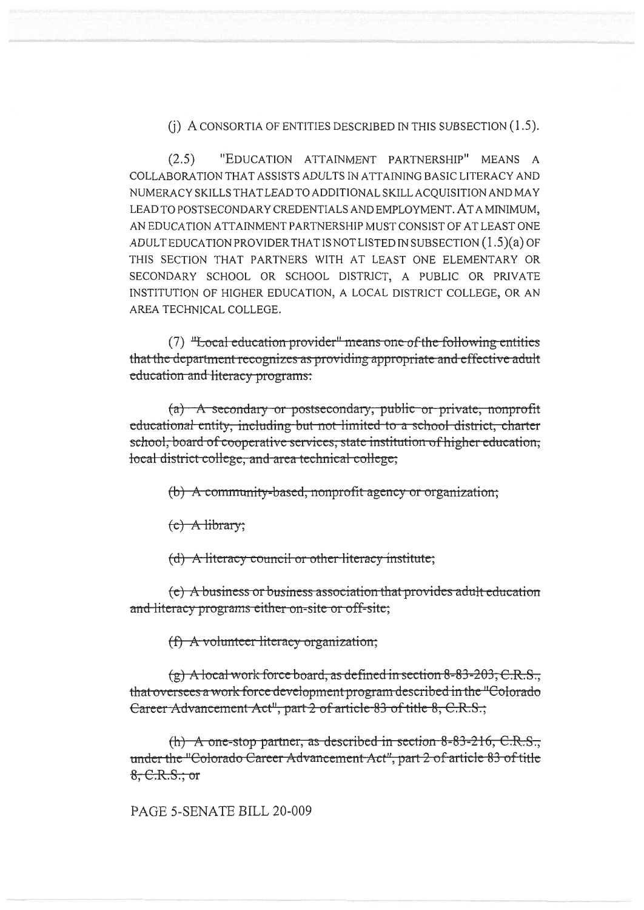$(i)$  A consortia of entities described in this subsection (1.5).

 $(2.5)$ "EDUCATION ATTAINMENT PARTNERSHIP" MEANS A COLLABORATION THAT ASSISTS ADULTS IN ATTAINING BASIC LITERACY AND NUMERACY SKILLS THAT LEAD TO ADDITIONAL SKILL ACQUISITION AND MAY LEAD TO POSTSECONDARY CREDENTIALS AND EMPLOYMENT. AT A MINIMUM, AN EDUCATION ATTAINMENT PARTNERSHIP MUST CONSIST OF AT LEAST ONE ADULT EDUCATION PROVIDER THAT IS NOT LISTED IN SUBSECTION  $(1.5)(a)$  OF THIS SECTION THAT PARTNERS WITH AT LEAST ONE ELEMENTARY OR SECONDARY SCHOOL OR SCHOOL DISTRICT, A PUBLIC OR PRIVATE INSTITUTION OF HIGHER EDUCATION, A LOCAL DISTRICT COLLEGE, OR AN AREA TECHNICAL COLLEGE.

(7) "Local education provider" means one of the following entities that the department recognizes as providing appropriate and effective adult education and literacy programs:

 $(a)$  A secondary or postsecondary, public or private, nonprofit educational entity, including but not limited to a school district, charter school, board of cooperative services, state institution of higher education, local district college, and area technical college;

(b) A community-based, nonprofit agency or organization;

 $(c)$  A library;

(d) A literacy council or other literacy institute;

(e) A business or business association that provides adult education and literacy programs either on-site or off-site;

(f) A volunteer literacy organization;

 $(g)$  A local work force board, as defined in section 8-83-203, C.R.S., that oversees a work force development program described in the "Colorado" Career Advancement Act", part 2 of article 83 of title 8, C.R.S.;

(h) A one-stop partner, as described in section  $8-83-216$ , C.R.S., under the "Colorado Career Advancement Act", part 2 of article 83 of title 8, C.R.S., or

PAGE 5-SENATE BILL 20-009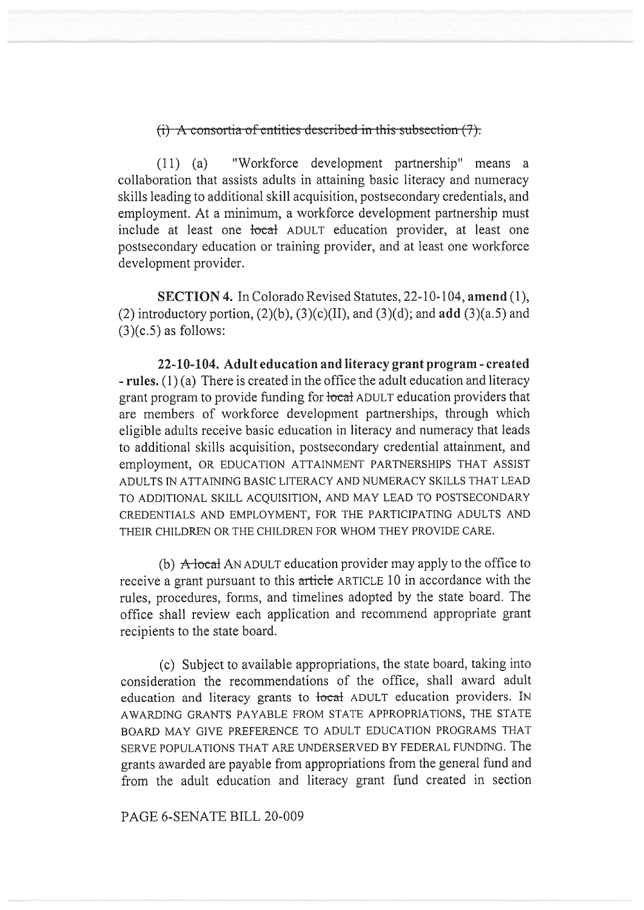## (i) A consortia of entities described in this subsection  $(7)$ .

(11) (a) "Workforce development partnership" means a collaboration that assists adults in attaining basic literacy and numeracy skills leading to additional skill acquisition, postsecondary credentials, and employment. At a minimum, a workforce development partnership must include at least one <del>local</del> ADULT education provider, at least one postsecondary education or training provider, and at least one workforce development provider.

**SECTION 4.** In Colorado Revised Statutes, 22-10-104, **amend** (1), (2) introductory portion, (2)(b), (3)(c)(II), and (3)(d); and **add** (3)(a.5) and  $(3)(c.5)$  as follows:

**22-10-104. Adult education and literacy grant program - created - rules. (1)** (a) There is created in the office the adult education and literacy grant program to provide funding for local ADULT education providers that are members of workforce development partnerships, through which eligible adults receive basic education in literacy and numeracy that leads to additional skills acquisition, postsecondary credential attainment, and employment, OR EDUCATION ATTAINMENT PARTNERSHIPS THAT ASSIST ADULTS IN ATTAINING BASIC LITERACY AND NUMERACY SKILLS THAT LEAD TO ADDITIONAL SKILL ACQUISITION, AND MAY LEAD TO POSTSECONDARY CREDENTIALS AND EMPLOYMENT, FOR THE PARTICIPATING ADULTS AND THEIR CHILDREN OR THE CHILDREN FOR WHOM THEY PROVIDE CARE.

(b)  $\overrightarrow{A}$  local AN ADULT education provider may apply to the office to receive a grant pursuant to this article ARTICLE 10 in accordance with the rules, procedures, forms, and timelines adopted by the state board. The office shall review each application and recommend appropriate grant recipients to the state board.

(c) Subject to available appropriations, the state board, taking into consideration the recommendations of the office, shall award adult education and literacy grants to local ADULT education providers. IN AWARDING GRANTS PAYABLE FROM STATE APPROPRIATIONS, THE STATE BOARD MAY GIVE PREFERENCE TO ADULT EDUCATION PROGRAMS THAT SERVE POPULATIONS THAT ARE UNDERSERVED BY FEDERAL FUNDING. The grants awarded are payable from appropriations from the general fund and from the adult education and literacy grant fund created in section

PAGE 6-SENATE BILL 20-009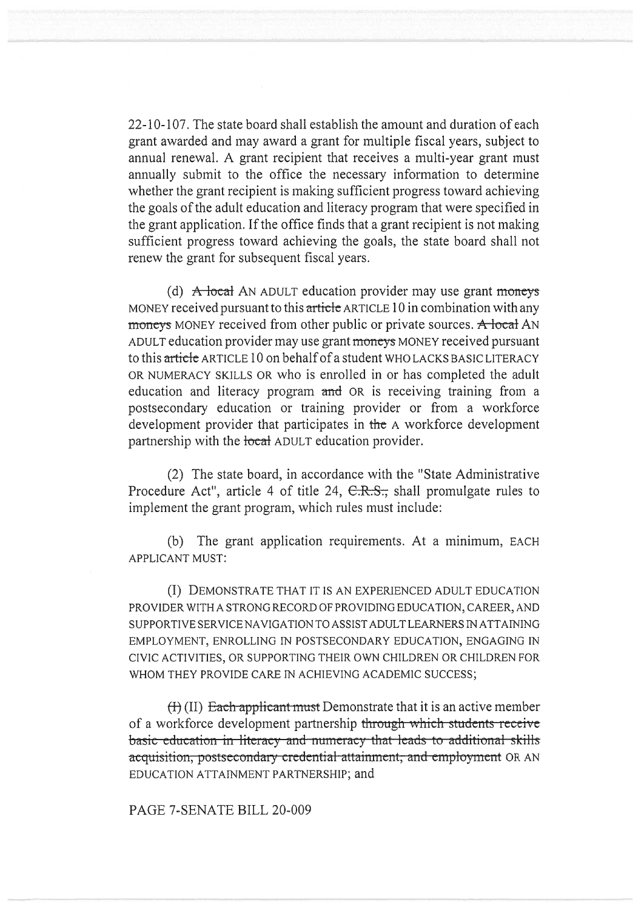22-10-107. The state board shall establish the amount and duration of each grant awarded and may award a grant for multiple fiscal years, subject to annual renewal. A grant recipient that receives a multi-year grant must annually submit to the office the necessary information to determine whether the grant recipient is making sufficient progress toward achieving the goals of the adult education and literacy program that were specified in the grant application. If the office finds that a grant recipient is not making sufficient progress toward achieving the goals, the state board shall not renew the grant for subsequent fiscal years.

(d)  $\overrightarrow{A}$  local AN ADULT education provider may use grant moneys MONEY received pursuant to this article ARTICLE 10 in combination with any moneys MONEY received from other public or private sources. A local AN ADULT education provider may use grant moneys MONEY received pursuant to this article ARTICLE 10 on behalf of a student WHO LACKS BASIC LITERACY OR NUMERACY SKILLS OR who is enrolled in or has completed the adult education and literacy program and OR is receiving training from a postsecondary education or training provider or from a workforce development provider that participates in the A workforce development partnership with the local ADULT education provider.

(2) The state board, in accordance with the "State Administrative Procedure Act", article 4 of title 24, C.R.S., shall promulgate rules to implement the grant program, which rules must include:

(b) The grant application requirements. At a minimum, EACH APPLICANT MUST:

(I) DEMONSTRATE THAT IT IS AN EXPERIENCED ADULT EDUCATION PROVIDER WITH A STRONG RECORD OF PROVIDING EDUCATION, CAREER, AND SUPPORTIVE SERVICE NAVIGATION TO ASSIST ADULT LEARNERS IN ATTAINING EMPLOYMENT, ENROLLING IN POSTSECONDARY EDUCATION, ENGAGING IN CIVIC ACTIVITIES, OR SUPPORTING THEIR OWN CHILDREN OR CHILDREN FOR WHOM THEY PROVIDE CARE IN ACHIEVING ACADEMIC SUCCESS;

 $(H)$  (II) Each applicant must Demonstrate that it is an active member of a workforce development partnership through which students receive basic cducation in literacy and numeracy that leads to additional skills acquisition, postsecondary credential-attainment, and employment OR AN EDUCATION ATTAINMENT PARTNERSHIP; and

PAGE 7-SENATE BILL 20-009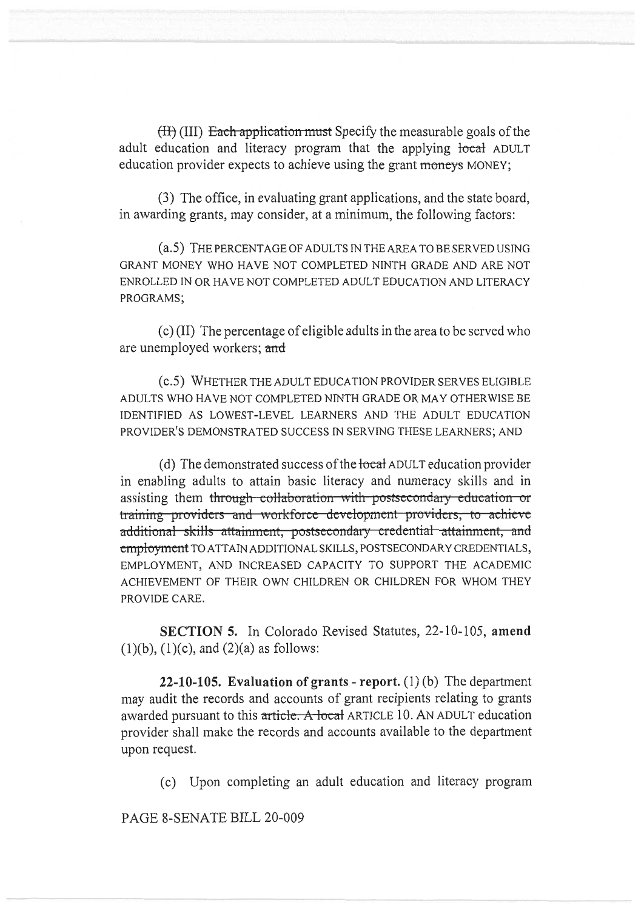$(H)$  (III) Each application must Specify the measurable goals of the adult education and literacy program that the applying local ADULT education provider expects to achieve using the grant moneys MONEY;

(3) The office, in evaluating grant applications, and the state board, in awarding grants, may consider, at a minimum, the following factors:

(a.5) THE PERCENTAGE OF ADULTS IN THE AREA TO BE SERVED USING GRANT MONEY WHO HAVE NOT COMPLETED NINTH GRADE AND ARE NOT ENROLLED IN OR HAVE NOT COMPLETED ADULT EDUCATION AND LITERACY PROGRAMS;

(c) (II) The percentage of eligible adults in the area to be served who are unemployed workers; **and** 

(c.5) WHETHER THE ADULT EDUCATION PROVIDER SERVES ELIGIBLE ADULTS WHO HAVE NOT COMPLETED NINTH GRADE OR MAY OTHERWISE BE IDENTIFIED AS LOWEST-LEVEL LEARNERS AND THE ADULT EDUCATION PROVIDER'S DEMONSTRATED SUCCESS IN SERVING THESE LEARNERS; AND

(d) The demonstrated success of the local ADULT education provider in enabling adults to attain basic literacy and numeracy skills and in assisting them through collaboration with postsecondary education or training providers and workforce development providers, to achieve additional skills attainment, postsecondary credential attainment, and employment TO ATTAIN ADDITIONAL SKILLS, POSTSECONDARY CREDENTIALS, EMPLOYMENT, AND INCREASED CAPACITY TO SUPPORT THE ACADEMIC ACHIEVEMENT OF THEIR OWN CHILDREN OR CHILDREN FOR WHOM THEY PROVIDE CARE.

**SECTION 5.** In Colorado Revised Statutes, 22-10-105, **amend**   $(1)(b)$ ,  $(1)(c)$ , and  $(2)(a)$  as follows:

**22-10-105. Evaluation of grants - report.** (1) (b) The department may audit the records and accounts of grant recipients relating to grants awarded pursuant to this article. A local ARTICLE 10. AN ADULT education provider shall make the records and accounts available to the department upon request.

(c) Upon completing an adult education and literacy program

PAGE 8-SENATE BILL 20-009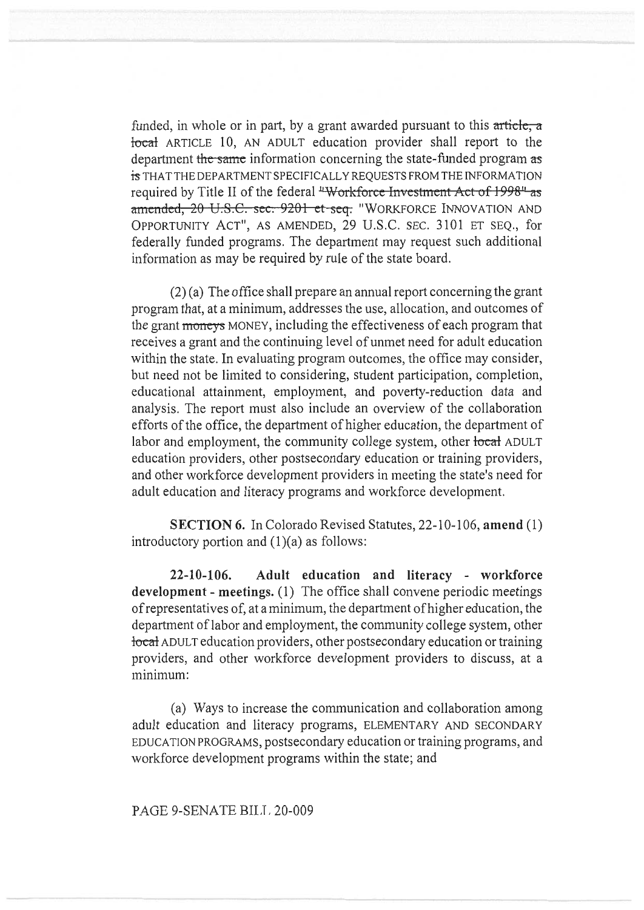funded, in whole or in part, by a grant awarded pursuant to this article, a local ARTICLE 10, AN ADULT education provider shall report to the department the same information concerning the state-funded program as is THAT THE DEPARTMENT SPECIFICALLY REQUESTS FROM THE INFORMATION required by Title II of the federal "Workforce Investment Act of 1998" as amended, 20 U.S.C. sec. 9201 et seq. "WORKFORCE INNOVATION AND OPPORTUNITY ACT", AS AMENDED, 29 U.S.C. SEC. 3101 ET SEQ., for federally funded programs. The department may request such additional information as may be required by rule of the state board.

(2) (a) The office shall prepare an annual report concerning the grant program that, at a minimum, addresses the use, allocation, and outcomes of the grant moneys MONEY, including the effectiveness of each program that receives a grant and the continuing level of unmet need for adult education within the state. In evaluating program outcomes, the office may consider, but need not be limited to considering, student participation, completion, educational attainment, employment, and poverty-reduction data and analysis. The report must also include an overview of the collaboration efforts of the office, the department of higher education, the department of labor and employment, the community college system, other local ADULT education providers, other postsecondary education or training providers, and other workforce development providers in meeting the state's need for adult education and literacy programs and workforce development.

**SECTION 6.** In Colorado Revised Statutes, 22-10-106, **amend** (1) introductory portion and  $(1)(a)$  as follows:

**22-10-106. Adult education and literacy - workforce development - meetings.** (1) The office shall convene periodic meetings of representatives of, at a minimum, the department of higher education, the department of labor and employment, the community college system, other local ADULT education providers, other postsecondary education or training providers, and other workforce development providers to discuss, at a minimum:

(a) Ways to increase the communication and collaboration among adult education and literacy programs, ELEMENTARY AND SECONDARY EDUCATION PROGRAMS, postsecondary education or training programs, and workforce development programs within the state; and

PAGE 9-SENATE BILL 20-009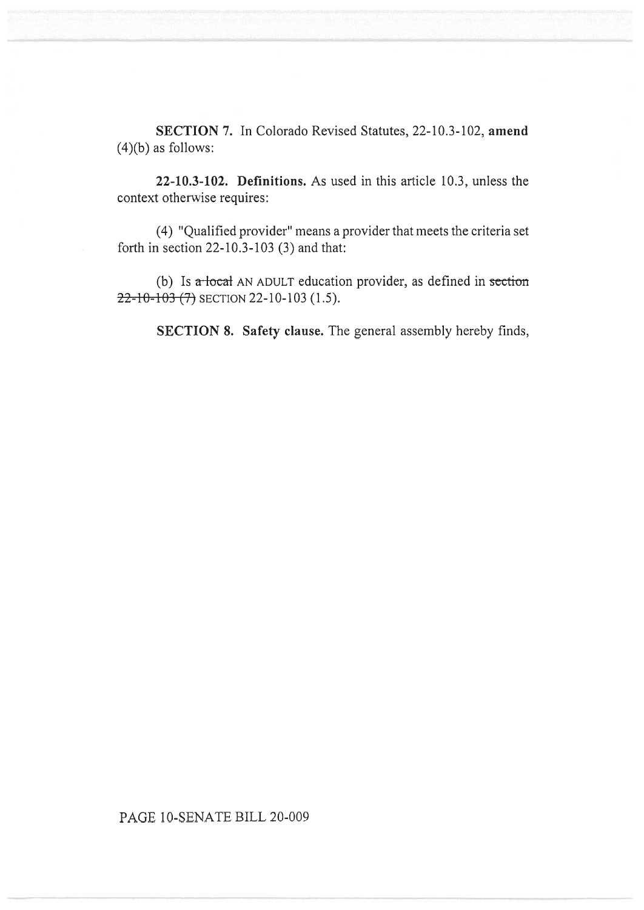**SECTION 7.** In Colorado Revised Statutes, 22-10.3-102, **amend**   $(4)(b)$  as follows:

**22-10.3-102. Definitions.** As used in this article 10.3, unless the context otherwise requires:

(4) "Qualified provider" means a provider that meets the criteria set forth in section 22-10.3-103 (3) and that:

(b) Is  $\alpha$  local AN ADULT education provider, as defined in section  $22 - 10 - 103$  (7) SECTION 22-10-103 (1.5).

**SECTION 8. Safety clause.** The general assembly hereby finds,

## PAGE 10-SENATE BILL 20-009